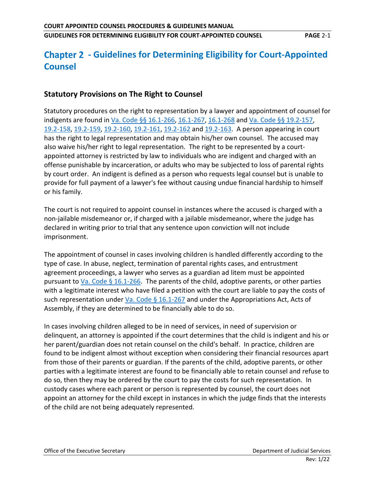# **- Guidelines for Determining Eligibility for Court-Appointed Counsel**

# **Statutory Provisions on The Right to Counsel**

Statutory procedures on the right to representation by a lawyer and appointment of counsel for indigents are found in [Va. Code §§ 16.1-266,](https://law.lis.virginia.gov/vacode/16.1-266) [16.1-267,](https://law.lis.virginia.gov/vacode/16.1-267) [16.1-268](https://law.lis.virginia.gov/vacode/16.1-268) and [Va. Code §§ 19.2-157,](https://law.lis.virginia.gov/vacode/19.2-157) [19.2-158,](https://law.lis.virginia.gov/vacode/19.2-158) [19.2-159,](https://law.lis.virginia.gov/vacode/19.2-159) [19.2-160,](https://law.lis.virginia.gov/vacode/19.2-160) [19.2-161,](https://law.lis.virginia.gov/vacode/19.2-161) [19.2-162](https://law.lis.virginia.gov/vacode/19.2-162) and [19.2-163.](https://law.lis.virginia.gov/vacode/19.2-163) A person appearing in court has the right to legal representation and may obtain his/her own counsel. The accused may also waive his/her right to legal representation. The right to be represented by a courtappointed attorney is restricted by law to individuals who are indigent and charged with an offense punishable by incarceration, or adults who may be subjected to loss of parental rights by court order. An indigent is defined as a person who requests legal counsel but is unable to provide for full payment of a lawyer's fee without causing undue financial hardship to himself or his family.

The court is not required to appoint counsel in instances where the accused is charged with a non-jailable misdemeanor or, if charged with a jailable misdemeanor, where the judge has declared in writing prior to trial that any sentence upon conviction will not include imprisonment.

The appointment of counsel in cases involving children is handled differently according to the type of case. In abuse, neglect, termination of parental rights cases, and entrustment agreement proceedings, a lawyer who serves as a guardian ad litem must be appointed pursuant to [Va. Code § 16.1-266.](https://law.lis.virginia.gov/vacode/16.1-266) The parents of the child, adoptive parents, or other parties with a legitimate interest who have filed a petition with the court are liable to pay the costs of such representation under Va. Code  $\S$  16.1-267 and under the Appropriations Act, Acts of Assembly, if they are determined to be financially able to do so.

In cases involving children alleged to be in need of services, in need of supervision or delinquent, an attorney is appointed if the court determines that the child is indigent and his or her parent/guardian does not retain counsel on the child's behalf. In practice, children are found to be indigent almost without exception when considering their financial resources apart from those of their parents or guardian. If the parents of the child, adoptive parents, or other parties with a legitimate interest are found to be financially able to retain counsel and refuse to do so, then they may be ordered by the court to pay the costs for such representation. In custody cases where each parent or person is represented by counsel, the court does not appoint an attorney for the child except in instances in which the judge finds that the interests of the child are not being adequately represented.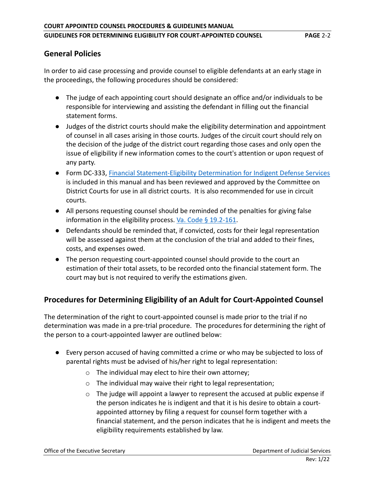# **General Policies**

In order to aid case processing and provide counsel to eligible defendants at an early stage in the proceedings, the following procedures should be considered:

- The judge of each appointing court should designate an office and/or individuals to be responsible for interviewing and assisting the defendant in filling out the financial statement forms.
- Judges of the district courts should make the eligibility determination and appointment of counsel in all cases arising in those courts. Judges of the circuit court should rely on the decision of the judge of the district court regarding those cases and only open the issue of eligibility if new information comes to the court's attention or upon request of any party.
- Form DC-333, [Financial Statement-Eligibility Determination for Indigent Defense Services](http://www.vacourts.gov/forms/district/dc333.pdf) is included in this manual and has been reviewed and approved by the Committee on District Courts for use in all district courts. It is also recommended for use in circuit courts.
- All persons requesting counsel should be reminded of the penalties for giving false information in the eligibility process. [Va. Code § 19.2-161.](https://law.lis.virginia.gov/vacode/19.2-161)
- Defendants should be reminded that, if convicted, costs for their legal representation will be assessed against them at the conclusion of the trial and added to their fines, costs, and expenses owed.
- The person requesting court-appointed counsel should provide to the court an estimation of their total assets, to be recorded onto the financial statement form. The court may but is not required to verify the estimations given.

# **Procedures for Determining Eligibility of an Adult for Court-Appointed Counsel**

The determination of the right to court-appointed counsel is made prior to the trial if no determination was made in a pre-trial procedure. The procedures for determining the right of the person to a court-appointed lawyer are outlined below:

- Every person accused of having committed a crime or who may be subjected to loss of parental rights must be advised of his/her right to legal representation:
	- $\circ$  The individual may elect to hire their own attorney;
	- o The individual may waive their right to legal representation;
	- $\circ$  The judge will appoint a lawyer to represent the accused at public expense if the person indicates he is indigent and that it is his desire to obtain a courtappointed attorney by filing a request for counsel form together with a financial statement, and the person indicates that he is indigent and meets the eligibility requirements established by law.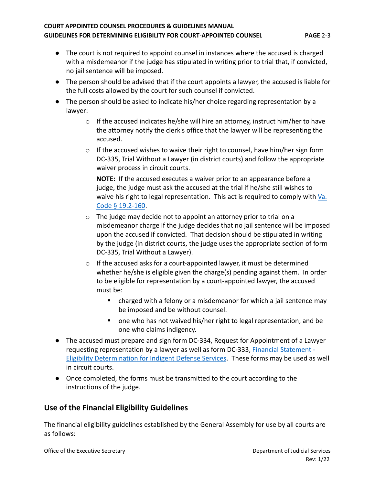#### **COURT APPOINTED COUNSEL PROCEDURES & GUIDELINES MANUAL**

#### **GUIDELINES FOR DETERMINING ELIGIBILITY FOR COURT-APPOINTED COUNSEL PAGE** 2-3

- The court is not required to appoint counsel in instances where the accused is charged with a misdemeanor if the judge has stipulated in writing prior to trial that, if convicted, no jail sentence will be imposed.
- The person should be advised that if the court appoints a lawyer, the accused is liable for the full costs allowed by the court for such counsel if convicted.
- The person should be asked to indicate his/her choice regarding representation by a lawyer:
	- $\circ$  If the accused indicates he/she will hire an attorney, instruct him/her to have the attorney notify the clerk's office that the lawyer will be representing the accused.
	- $\circ$  If the accused wishes to waive their right to counsel, have him/her sign form DC-335, Trial Without a Lawyer (in district courts) and follow the appropriate waiver process in circuit courts.

**NOTE:** If the accused executes a waiver prior to an appearance before a judge, the judge must ask the accused at the trial if he/she still wishes to waive his right to legal representation. This act is required to comply with Va. [Code § 19.2-160.](https://law.lis.virginia.gov/vacode/19.2-160)

- o The judge may decide not to appoint an attorney prior to trial on a misdemeanor charge if the judge decides that no jail sentence will be imposed upon the accused if convicted. That decision should be stipulated in writing by the judge (in district courts, the judge uses the appropriate section of form DC-335, Trial Without a Lawyer).
- o If the accused asks for a court-appointed lawyer, it must be determined whether he/she is eligible given the charge(s) pending against them. In order to be eligible for representation by a court-appointed lawyer, the accused must be:
	- charged with a felony or a misdemeanor for which a jail sentence may be imposed and be without counsel.
	- one who has not waived his/her right to legal representation, and be one who claims indigency.
- The accused must prepare and sign form DC-334, Request for Appointment of a Lawyer requesting representation by a lawyer as well as form DC-333, [Financial Statement -](http://www.vacourts.gov/forms/district/dc333.pdf) [Eligibility Determination for Indigent Defense Services.](http://www.vacourts.gov/forms/district/dc333.pdf) These forms may be used as well in circuit courts.
- Once completed, the forms must be transmitted to the court according to the instructions of the judge.

# **Use of the Financial Eligibility Guidelines**

The financial eligibility guidelines established by the General Assembly for use by all courts are as follows:

Office of the Executive Secretary **Department of Judicial Services** Department of Judicial Services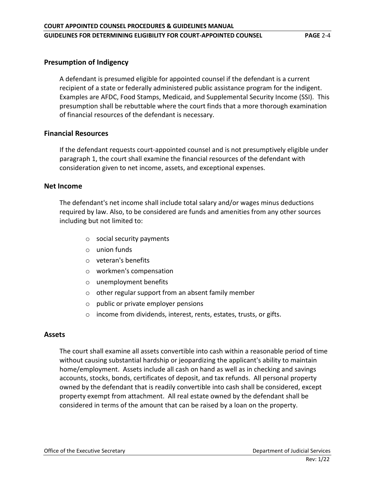#### **Presumption of Indigency**

A defendant is presumed eligible for appointed counsel if the defendant is a current recipient of a state or federally administered public assistance program for the indigent. Examples are AFDC, Food Stamps, Medicaid, and Supplemental Security Income (SSI). This presumption shall be rebuttable where the court finds that a more thorough examination of financial resources of the defendant is necessary.

#### **Financial Resources**

If the defendant requests court-appointed counsel and is not presumptively eligible under paragraph 1, the court shall examine the financial resources of the defendant with consideration given to net income, assets, and exceptional expenses.

#### **Net Income**

The defendant's net income shall include total salary and/or wages minus deductions required by law. Also, to be considered are funds and amenities from any other sources including but not limited to:

- o social security payments
- o union funds
- o veteran's benefits
- o workmen's compensation
- o unemployment benefits
- o other regular support from an absent family member
- o public or private employer pensions
- o income from dividends, interest, rents, estates, trusts, or gifts.

#### **Assets**

The court shall examine all assets convertible into cash within a reasonable period of time without causing substantial hardship or jeopardizing the applicant's ability to maintain home/employment. Assets include all cash on hand as well as in checking and savings accounts, stocks, bonds, certificates of deposit, and tax refunds. All personal property owned by the defendant that is readily convertible into cash shall be considered, except property exempt from attachment. All real estate owned by the defendant shall be considered in terms of the amount that can be raised by a loan on the property.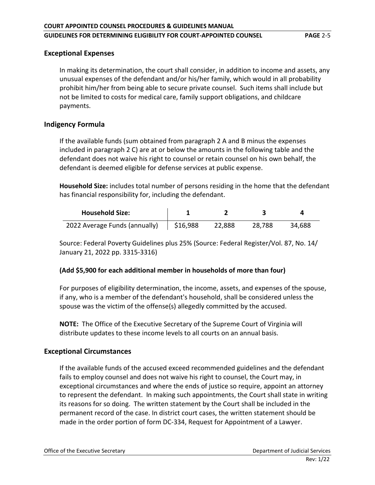#### **Exceptional Expenses**

In making its determination, the court shall consider, in addition to income and assets, any unusual expenses of the defendant and/or his/her family, which would in all probability prohibit him/her from being able to secure private counsel. Such items shall include but not be limited to costs for medical care, family support obligations, and childcare payments.

### **Indigency Formula**

If the available funds (sum obtained from paragraph 2 A and B minus the expenses included in paragraph 2 C) are at or below the amounts in the following table and the defendant does not waive his right to counsel or retain counsel on his own behalf, the defendant is deemed eligible for defense services at public expense.

**Household Size:** includes total number of persons residing in the home that the defendant has financial responsibility for, including the defendant.

| <b>Household Size:</b>        |          |        |        |        |
|-------------------------------|----------|--------|--------|--------|
| 2022 Average Funds (annually) | \$16,988 | 22.888 | 28.788 | 34.688 |

Source: Federal Poverty Guidelines plus 25% (Source: Federal Register/Vol. 87, No. 14/ January 21, 2022 pp. 3315-3316)

### **(Add \$5,900 for each additional member in households of more than four)**

For purposes of eligibility determination, the income, assets, and expenses of the spouse, if any, who is a member of the defendant's household, shall be considered unless the spouse was the victim of the offense(s) allegedly committed by the accused.

**NOTE:** The Office of the Executive Secretary of the Supreme Court of Virginia will distribute updates to these income levels to all courts on an annual basis.

### **Exceptional Circumstances**

If the available funds of the accused exceed recommended guidelines and the defendant fails to employ counsel and does not waive his right to counsel, the Court may, in exceptional circumstances and where the ends of justice so require, appoint an attorney to represent the defendant. In making such appointments, the Court shall state in writing its reasons for so doing. The written statement by the Court shall be included in the permanent record of the case. In district court cases, the written statement should be made in the order portion of form DC-334, Request for Appointment of a Lawyer.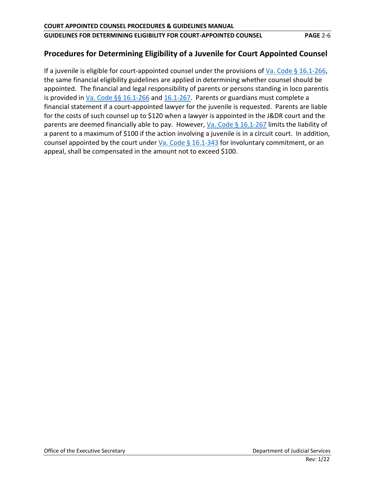# **Procedures for Determining Eligibility of a Juvenile for Court Appointed Counsel**

If a juvenile is eligible for court-appointed counsel under the provisions of [Va. Code § 16.1-266,](https://law.lis.virginia.gov/vacode/16.1-266) the same financial eligibility guidelines are applied in determining whether counsel should be appointed. The financial and legal responsibility of parents or persons standing in loco parentis is provided in [Va. Code §§ 16.1-266](https://law.lis.virginia.gov/vacode/16.1-266) and  $16.1$ -267. Parents or guardians must complete a financial statement if a court-appointed lawyer for the juvenile is requested. Parents are liable for the costs of such counsel up to \$120 when a lawyer is appointed in the J&DR court and the parents are deemed financially able to pay. However, [Va. Code § 16.1-267](https://law.lis.virginia.gov/vacode/16.1-267) limits the liability of a parent to a maximum of \$100 if the action involving a juvenile is in a circuit court. In addition, counsel appointed by the court under Va. Code  $\S$  16.1-343 for involuntary commitment, or an appeal, shall be compensated in the amount not to exceed \$100.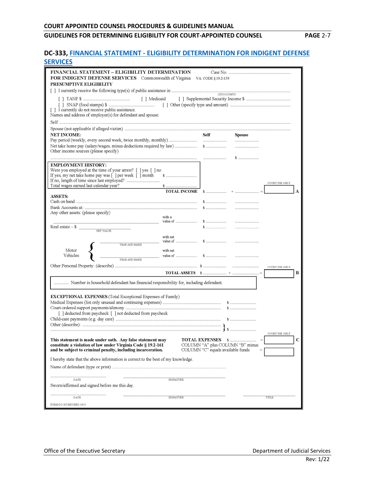#### **DC-333, FINANCIAL STATEMENT - [ELIGIBILITY DETERMINATION FOR INDIGENT DEFENSE](http://www.vacourts.gov/forms/district/dc333.pdf)  [SERVICES](http://www.vacourts.gov/forms/district/dc333.pdf)**

| <b>FINANCIAL STATEMENT – ELIGIBILITY DETERMINATION</b>                            |                     |                                   |                                    |                |
|-----------------------------------------------------------------------------------|---------------------|-----------------------------------|------------------------------------|----------------|
| <b>FOR INDIGENT DEFENSE SERVICES</b> Commonwealth of Virginia                     |                     | VA. CODE § 19.2-159               |                                    |                |
| PRESUMPTIVE ELIGIBILITY                                                           |                     |                                   |                                    |                |
|                                                                                   |                     |                                   |                                    |                |
|                                                                                   |                     |                                   | CITY/COUNTY                        |                |
|                                                                                   |                     |                                   |                                    |                |
|                                                                                   |                     |                                   |                                    |                |
| [] I currently do not receive public assistance.                                  |                     |                                   |                                    |                |
| Names and address of employer(s) for defendant and spouse:                        |                     |                                   |                                    |                |
|                                                                                   |                     |                                   |                                    |                |
|                                                                                   |                     |                                   |                                    |                |
| <b>NET INCOME:</b>                                                                |                     | <b>Self</b>                       | <b>Spouse</b>                      |                |
|                                                                                   |                     |                                   |                                    |                |
|                                                                                   |                     |                                   |                                    |                |
| Other income sources (please specify)                                             |                     |                                   |                                    |                |
|                                                                                   |                     |                                   | $S$                                |                |
| <b>EMPLOYMENT HISTORY:</b>                                                        |                     |                                   |                                    |                |
| Were you employed at the time of your arrest? [ ] yes [ ] no                      |                     |                                   |                                    |                |
| If yes, my net take home pay was [ ] per week [ ] month                           |                     |                                   |                                    |                |
|                                                                                   |                     |                                   |                                    | COURT USE ONLY |
| Total wages earned last calendar year?                                            |                     |                                   |                                    |                |
| <b>ASSETS:</b>                                                                    | <b>TOTAL INCOME</b> |                                   |                                    | А              |
|                                                                                   |                     |                                   | and an annual contract of the con- |                |
|                                                                                   |                     |                                   |                                    |                |
| Any other assets: (please specify)                                                |                     |                                   |                                    |                |
|                                                                                   | with a              |                                   |                                    |                |
|                                                                                   |                     |                                   |                                    |                |
| Real estate $-$ \$<br>NET VALUE                                                   |                     |                                   |                                    |                |
|                                                                                   | with net            |                                   |                                    |                |
|                                                                                   |                     |                                   |                                    |                |
| YEAR AND MAKE                                                                     |                     |                                   |                                    |                |
| Motor                                                                             | with net            |                                   |                                    |                |
| Vehicles<br>YEAR AND MAKE                                                         |                     |                                   |                                    |                |
|                                                                                   |                     |                                   |                                    | COURT USE ONLY |
|                                                                                   |                     |                                   |                                    | В              |
|                                                                                   |                     |                                   |                                    |                |
|                                                                                   |                     |                                   |                                    |                |
|                                                                                   |                     |                                   |                                    |                |
|                                                                                   |                     |                                   |                                    |                |
| <b>EXCEPTIONAL EXPENSES</b> (Total Exceptional Expenses of Family)                |                     |                                   |                                    |                |
|                                                                                   |                     |                                   |                                    |                |
| [ ] deducted from paycheck [ ] not deducted from paycheck                         |                     |                                   |                                    |                |
|                                                                                   |                     |                                   |                                    |                |
|                                                                                   |                     |                                   |                                    |                |
|                                                                                   |                     |                                   |                                    |                |
|                                                                                   |                     |                                   |                                    | COURT USE ONLY |
| This statement is made under oath. Any false statement may                        |                     | <b>TOTAL EXPENSES</b>             | <b>S</b>                           |                |
| constitute a violation of law under Virginia Code § 19.2-161                      |                     |                                   | COLUMN "A" plus COLUMN "B" minus   |                |
| and be subject to criminal penalty, including incarceration.                      |                     | COLUMN "C" equals available funds |                                    |                |
| I hereby state that the above information is correct to the best of my knowledge. |                     |                                   |                                    |                |
|                                                                                   |                     |                                   |                                    |                |
|                                                                                   |                     |                                   |                                    |                |
|                                                                                   |                     |                                   |                                    |                |
| DATE                                                                              | <b>SIGNATURE</b>    |                                   |                                    |                |
| Sworn/affirmed and signed before me this day.                                     |                     |                                   |                                    |                |
|                                                                                   |                     |                                   |                                    |                |
| DATE                                                                              | <b>SIGNATURE</b>    |                                   |                                    | TITLE          |
| FORM DC-333 REVISED 10/11                                                         |                     |                                   |                                    |                |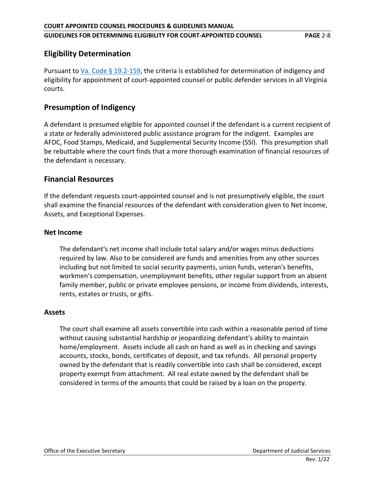# **Eligibility Determination**

Pursuant to [Va. Code § 19.2-159,](https://law.lis.virginia.gov/vacode/19.2-159) the criteria is established for determination of indigency and eligibility for appointment of court-appointed counsel or public defender services in all Virginia courts.

# **Presumption of Indigency**

A defendant is presumed eligible for appointed counsel if the defendant is a current recipient of a state or federally administered public assistance program for the indigent. Examples are AFDC, Food Stamps, Medicaid, and Supplemental Security Income (SSI). This presumption shall be rebuttable where the court finds that a more thorough examination of financial resources of the defendant is necessary.

## **Financial Resources**

If the defendant requests court-appointed counsel and is not presumptively eligible, the court shall examine the financial resources of the defendant with consideration given to Net Income, Assets, and Exceptional Expenses.

#### **Net Income**

The defendant's net income shall include total salary and/or wages minus deductions required by law. Also to be considered are funds and amenities from any other sources including but not limited to social security payments, union funds, veteran's benefits, workmen's compensation, unemployment benefits, other regular support from an absent family member, public or private employee pensions, or income from dividends, interests, rents, estates or trusts, or gifts.

### **Assets**

The court shall examine all assets convertible into cash within a reasonable period of time without causing substantial hardship or jeopardizing defendant's ability to maintain home/employment. Assets include all cash on hand as well as in checking and savings accounts, stocks, bonds, certificates of deposit, and tax refunds. All personal property owned by the defendant that is readily convertible into cash shall be considered, except property exempt from attachment. All real estate owned by the defendant shall be considered in terms of the amounts that could be raised by a loan on the property.